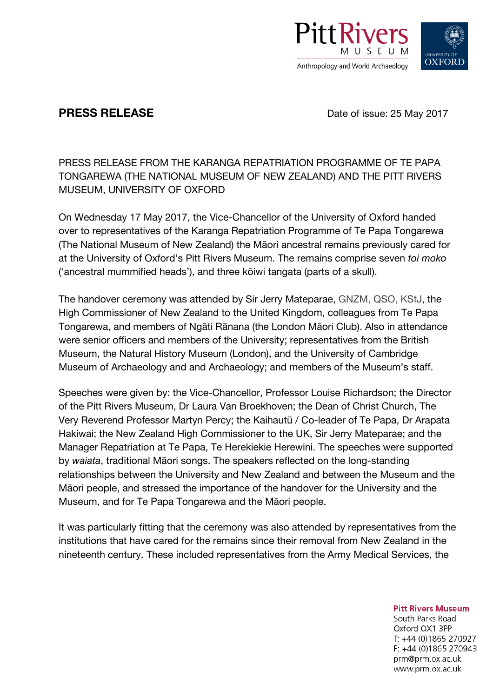

**PRESS RELEASE** Date of issue: 25 May 2017

PRESS RELEASE FROM THE KARANGA REPATRIATION PROGRAMME OF TE PAPA TONGAREWA (THE NATIONAL MUSEUM OF NEW ZEALAND) AND THE PITT RIVERS MUSEUM, UNIVERSITY OF OXFORD

On Wednesday 17 May 2017, the Vice-Chancellor of the University of Oxford handed over to representatives of the Karanga Repatriation Programme of Te Papa Tongarewa (The National Museum of New Zealand) the Māori ancestral remains previously cared for at the University of Oxford's Pitt Rivers Museum. The remains comprise seven *toi moko* ('ancestral mummified heads'), and three kōiwi tangata (parts of a skull).

The handover ceremony was attended by Sir Jerry Mateparae, GNZM, QSO, KStJ, the High Commissioner of New Zealand to the United Kingdom, colleagues from Te Papa Tongarewa, and members of Ngāti Rānana (the London Māori Club). Also in attendance were senior officers and members of the University; representatives from the British Museum, the Natural History Museum (London), and the University of Cambridge Museum of Archaeology and and Archaeology; and members of the Museum's staff.

Speeches were given by: the Vice-Chancellor, Professor Louise Richardson; the Director of the Pitt Rivers Museum, Dr Laura Van Broekhoven; the Dean of Christ Church, The Very Reverend Professor Martyn Percy; the Kaihautū / Co-leader of Te Papa, Dr Arapata Hakiwai; the New Zealand High Commissioner to the UK, Sir Jerry Mateparae; and the Manager Repatriation at Te Papa, Te Herekiekie Herewini. The speeches were supported by *waiata*, traditional Māori songs. The speakers reflected on the long-standing relationships between the University and New Zealand and between the Museum and the Māori people, and stressed the importance of the handover for the University and the Museum, and for Te Papa Tongarewa and the Māori people.

It was particularly fitting that the ceremony was also attended by representatives from the institutions that have cared for the remains since their removal from New Zealand in the nineteenth century. These included representatives from the Army Medical Services, the

**Pitt Rivers Museum** 

South Parks Road Oxford OX1 3PP T: +44 (0)1865 270927  $F. +44(0)1865270943$ prm@prm.ox.ac.uk www.prm.ox.ac.uk